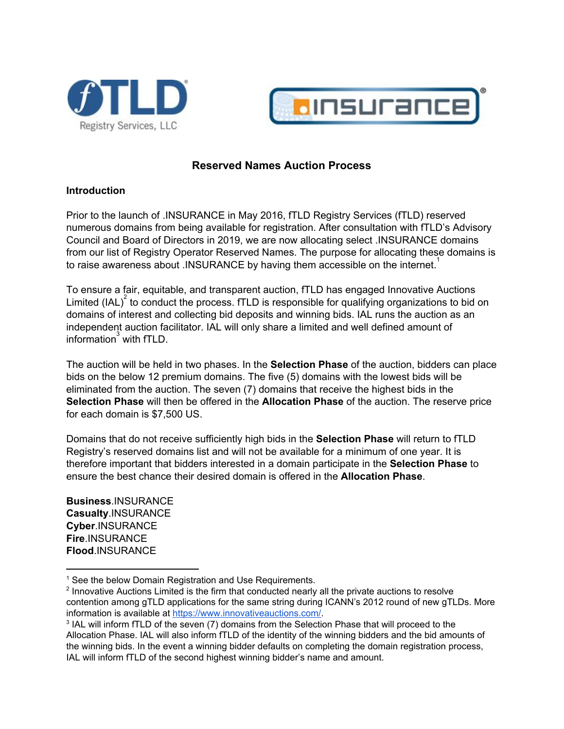



# **Reserved Names Auction Process**

#### **Introduction**

Prior to the launch of .INSURANCE in May 2016, fTLD Registry Services (fTLD) reserved numerous domains from being available for registration. After consultation with fTLD's Advisory Council and Board of Directors in 2019, we are now allocating select .INSURANCE domains from our list of Registry Operator Reserved Names. The purpose for allocating these domains is to raise awareness about .INSURANCE by having them accessible on the internet.<sup>1</sup>

To ensure a fair, equitable, and transparent auction, fTLD has engaged Innovative Auctions Limited (IAL)<sup>2</sup> to conduct the process. fTLD is responsible for qualifying organizations to bid on domains of interest and collecting bid deposits and winning bids. IAL runs the auction as an independent auction facilitator. IAL will only share a limited and well defined amount of information  $\sin^3$  with fTLD.

The auction will be held in two phases. In the **Selection Phase** of the auction, bidders can place bids on the below 12 premium domains. The five (5) domains with the lowest bids will be eliminated from the auction. The seven (7) domains that receive the highest bids in the **Selection Phase** will then be offered in the **Allocation Phase** of the auction. The reserve price for each domain is \$7,500 US.

Domains that do not receive sufficiently high bids in the **Selection Phase** will return to fTLD Registry's reserved domains list and will not be available for a minimum of one year. It is therefore important that bidders interested in a domain participate in the **Selection Phase** to ensure the best chance their desired domain is offered in the **Allocation Phase**.

**Business**.INSURANCE **Casualty**.INSURANCE **Cyber**.INSURANCE **Fire**.INSURANCE **Flood**.INSURANCE

<sup>&</sup>lt;sup>1</sup> See the below Domain Registration and Use Requirements.

<sup>&</sup>lt;sup>2</sup> Innovative Auctions Limited is the firm that conducted nearly all the private auctions to resolve contention among gTLD applications for the same string during ICANN's 2012 round of new gTLDs. More information is available at [https://www.innovativeauctions.com/.](https://www.innovativeauctions.com/)

<sup>&</sup>lt;sup>3</sup> IAL will inform fTLD of the seven (7) domains from the Selection Phase that will proceed to the Allocation Phase. IAL will also inform fTLD of the identity of the winning bidders and the bid amounts of the winning bids. In the event a winning bidder defaults on completing the domain registration process, IAL will inform fTLD of the second highest winning bidder's name and amount.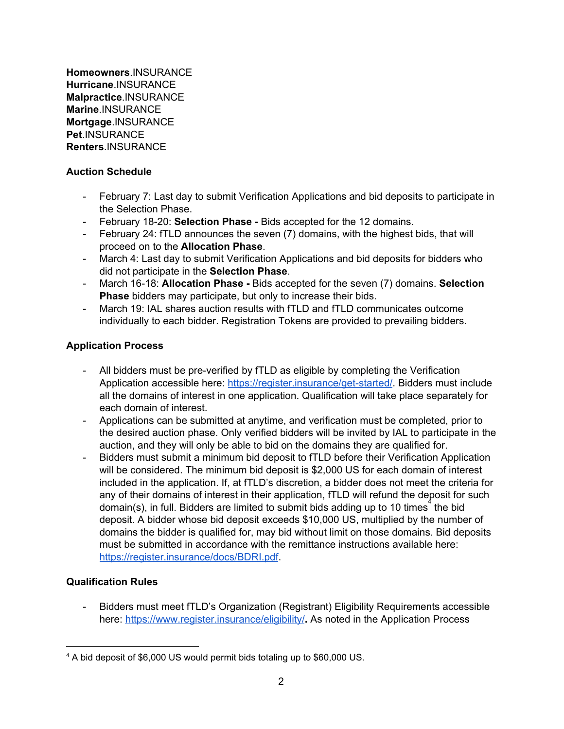**Homeowners**.INSURANCE **Hurricane**.INSURANCE **Malpractice**.INSURANCE **Marine**.INSURANCE **Mortgage**.INSURANCE **Pet**.INSURANCE **Renters**.INSURANCE

# **Auction Schedule**

- February 7: Last day to submit Verification Applications and bid deposits to participate in the Selection Phase.
- February 18-20: **Selection Phase -** Bids accepted for the 12 domains.
- February 24: fTLD announces the seven (7) domains, with the highest bids, that will proceed on to the **Allocation Phase**.
- March 4: Last day to submit Verification Applications and bid deposits for bidders who did not participate in the **Selection Phase**.
- March 16-18: **Allocation Phase -** Bids accepted for the seven (7) domains. **Selection Phase** bidders may participate, but only to increase their bids.
- March 19: IAL shares auction results with fTLD and fTLD communicates outcome individually to each bidder. Registration Tokens are provided to prevailing bidders.

# **Application Process**

- All bidders must be pre-verified by fTLD as eligible by completing the Verification Application accessible here: [https://register.insurance/get-started/](https://www.register.insurance/get-started/). Bidders must include all the domains of interest in one application. Qualification will take place separately for each domain of interest.
- Applications can be submitted at anytime, and verification must be completed, prior to the desired auction phase. Only verified bidders will be invited by IAL to participate in the auction, and they will only be able to bid on the domains they are qualified for.
- Bidders must submit a minimum bid deposit to fTLD before their Verification Application will be considered. The minimum bid deposit is \$2,000 US for each domain of interest included in the application. If, at fTLD's discretion, a bidder does not meet the criteria for any of their domains of interest in their application, fTLD will refund the deposit for such domain(s), in full. Bidders are limited to submit bids adding up to 10 times<sup>4</sup> the bid deposit. A bidder whose bid deposit exceeds \$10,000 US, multiplied by the number of domains the bidder is qualified for, may bid without limit on those domains. Bid deposits must be submitted in accordance with the remittance instructions available here: <https://register.insurance/docs/BDRI.pdf>.

# **Qualification Rules**

- Bidders must meet fTLD's Organization (Registrant) Eligibility Requirements accessible here: <https://www.register.insurance/eligibility/>**.** As noted in the Application Process

<sup>4</sup> A bid deposit of \$6,000 US would permit bids totaling up to \$60,000 US.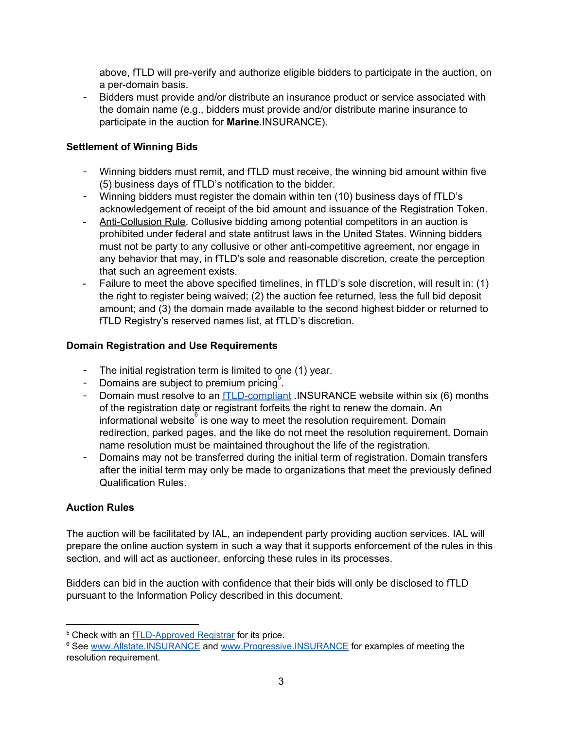above, fTLD will pre-verify and authorize eligible bidders to participate in the auction, on a per-domain basis.

- Bidders must provide and/or distribute an insurance product or service associated with the domain name (e.g., bidders must provide and/or distribute marine insurance to participate in the auction for **Marine**.INSURANCE).

### **Settlement of Winning Bids**

- Winning bidders must remit, and fTLD must receive, the winning bid amount within five (5) business days of fTLD's notification to the bidder.
- Winning bidders must register the domain within ten (10) business days of fTLD's acknowledgement of receipt of the bid amount and issuance of the Registration Token.
- Anti-Collusion Rule. Collusive bidding among potential competitors in an auction is prohibited under federal and state antitrust laws in the United States. Winning bidders must not be party to any collusive or other anti-competitive agreement, nor engage in any behavior that may, in fTLD's sole and reasonable discretion, create the perception that such an agreement exists.
- Failure to meet the above specified timelines, in fTLD's sole discretion, will result in: (1) the right to register being waived; (2) the auction fee returned, less the full bid deposit amount; and (3) the domain made available to the second highest bidder or returned to fTLD Registry's reserved names list, at fTLD's discretion.

#### **Domain Registration and Use Requirements**

- The initial registration term is limited to one (1) year.
- Domains are subject to premium pricing<sup>5</sup>.
- Domain must resolve to an **[fTLD-compliant](https://www.register.insurance/securityrequirements/)** .INSURANCE website within six (6) months of the registration date or registrant forfeits the right to renew the domain. An informational website  $\frac{1}{6}$  is one way to meet the resolution requirement. Domain redirection, parked pages, and the like do not meet the resolution requirement. Domain name resolution must be maintained throughout the life of the registration.
- Domains may not be transferred during the initial term of registration. Domain transfers after the initial term may only be made to organizations that meet the previously defined Qualification Rules.

# **Auction Rules**

The auction will be facilitated by IAL, an independent party providing auction services. IAL will prepare the online auction system in such a way that it supports enforcement of the rules in this section, and will act as auctioneer, enforcing these rules in its processes.

Bidders can bid in the auction with confidence that their bids will only be disclosed to fTLD pursuant to the Information Policy described in this document.

<sup>5</sup> Check with an [fTLD-Approved](https://www.register.insurance/registrars/) Registrar for its price.

<sup>6</sup> See [www.Allstate.INSURANCE](http://www.allstate.insurance/) and [www.Progressive.INSURANCE](https://progressive.insurance/) for examples of meeting the resolution requirement.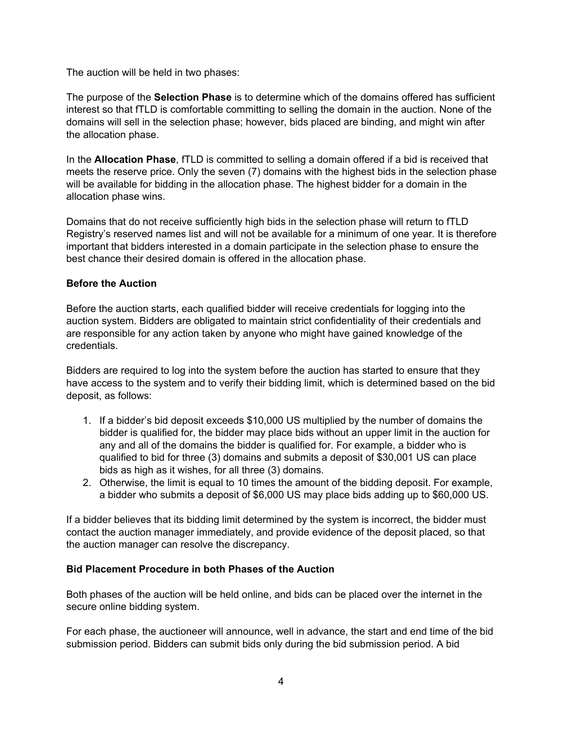The auction will be held in two phases:

The purpose of the **Selection Phase** is to determine which of the domains offered has sufficient interest so that fTLD is comfortable committing to selling the domain in the auction. None of the domains will sell in the selection phase; however, bids placed are binding, and might win after the allocation phase.

In the **Allocation Phase**, fTLD is committed to selling a domain offered if a bid is received that meets the reserve price. Only the seven (7) domains with the highest bids in the selection phase will be available for bidding in the allocation phase. The highest bidder for a domain in the allocation phase wins.

Domains that do not receive sufficiently high bids in the selection phase will return to fTLD Registry's reserved names list and will not be available for a minimum of one year. It is therefore important that bidders interested in a domain participate in the selection phase to ensure the best chance their desired domain is offered in the allocation phase.

#### **Before the Auction**

Before the auction starts, each qualified bidder will receive credentials for logging into the auction system. Bidders are obligated to maintain strict confidentiality of their credentials and are responsible for any action taken by anyone who might have gained knowledge of the credentials.

Bidders are required to log into the system before the auction has started to ensure that they have access to the system and to verify their bidding limit, which is determined based on the bid deposit, as follows:

- 1. If a bidder's bid deposit exceeds \$10,000 US multiplied by the number of domains the bidder is qualified for, the bidder may place bids without an upper limit in the auction for any and all of the domains the bidder is qualified for. For example, a bidder who is qualified to bid for three (3) domains and submits a deposit of \$30,001 US can place bids as high as it wishes, for all three (3) domains.
- 2. Otherwise, the limit is equal to 10 times the amount of the bidding deposit. For example, a bidder who submits a deposit of \$6,000 US may place bids adding up to \$60,000 US.

If a bidder believes that its bidding limit determined by the system is incorrect, the bidder must contact the auction manager immediately, and provide evidence of the deposit placed, so that the auction manager can resolve the discrepancy.

# **Bid Placement Procedure in both Phases of the Auction**

Both phases of the auction will be held online, and bids can be placed over the internet in the secure online bidding system.

For each phase, the auctioneer will announce, well in advance, the start and end time of the bid submission period. Bidders can submit bids only during the bid submission period. A bid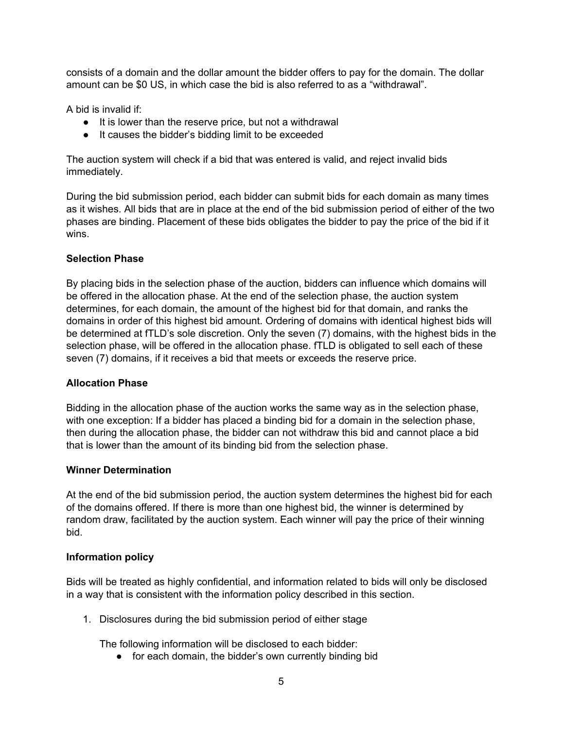consists of a domain and the dollar amount the bidder offers to pay for the domain. The dollar amount can be \$0 US, in which case the bid is also referred to as a "withdrawal".

A bid is invalid if:

- It is lower than the reserve price, but not a withdrawal
- It causes the bidder's bidding limit to be exceeded

The auction system will check if a bid that was entered is valid, and reject invalid bids immediately.

During the bid submission period, each bidder can submit bids for each domain as many times as it wishes. All bids that are in place at the end of the bid submission period of either of the two phases are binding. Placement of these bids obligates the bidder to pay the price of the bid if it wins.

#### **Selection Phase**

By placing bids in the selection phase of the auction, bidders can influence which domains will be offered in the allocation phase. At the end of the selection phase, the auction system determines, for each domain, the amount of the highest bid for that domain, and ranks the domains in order of this highest bid amount. Ordering of domains with identical highest bids will be determined at fTLD's sole discretion. Only the seven (7) domains, with the highest bids in the selection phase, will be offered in the allocation phase. fTLD is obligated to sell each of these seven (7) domains, if it receives a bid that meets or exceeds the reserve price.

#### **Allocation Phase**

Bidding in the allocation phase of the auction works the same way as in the selection phase, with one exception: If a bidder has placed a binding bid for a domain in the selection phase, then during the allocation phase, the bidder can not withdraw this bid and cannot place a bid that is lower than the amount of its binding bid from the selection phase.

#### **Winner Determination**

At the end of the bid submission period, the auction system determines the highest bid for each of the domains offered. If there is more than one highest bid, the winner is determined by random draw, facilitated by the auction system. Each winner will pay the price of their winning bid.

# **Information policy**

Bids will be treated as highly confidential, and information related to bids will only be disclosed in a way that is consistent with the information policy described in this section.

1. Disclosures during the bid submission period of either stage

The following information will be disclosed to each bidder:

● for each domain, the bidder's own currently binding bid